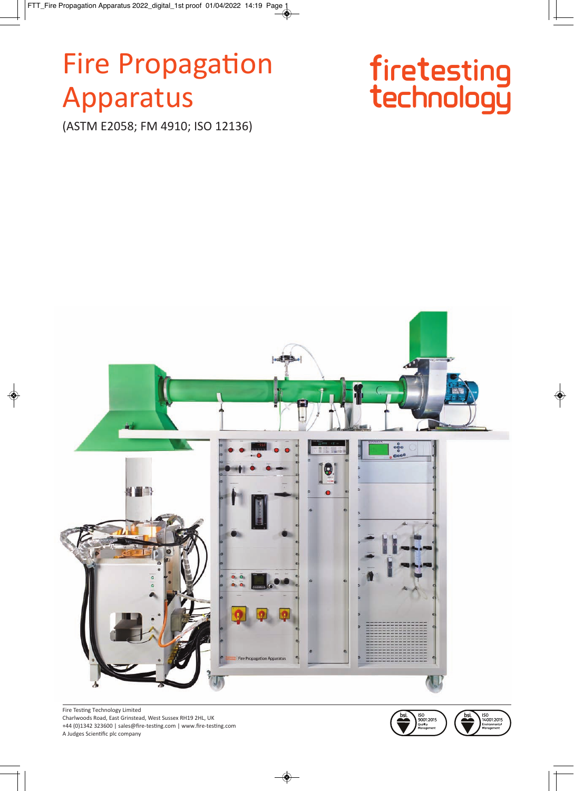# **Fire Propagation** Apparatus

(ASTM E2058; FM 4910; ISO 12136)





Fire Testing Technology Limited Charlwoods Road, East Grinstead, West Sussex RH19 2HL, UK +44 (0)1342 323600 | sales@fire-testing.com | www.fire-testing.com A Judges Scientific plc company



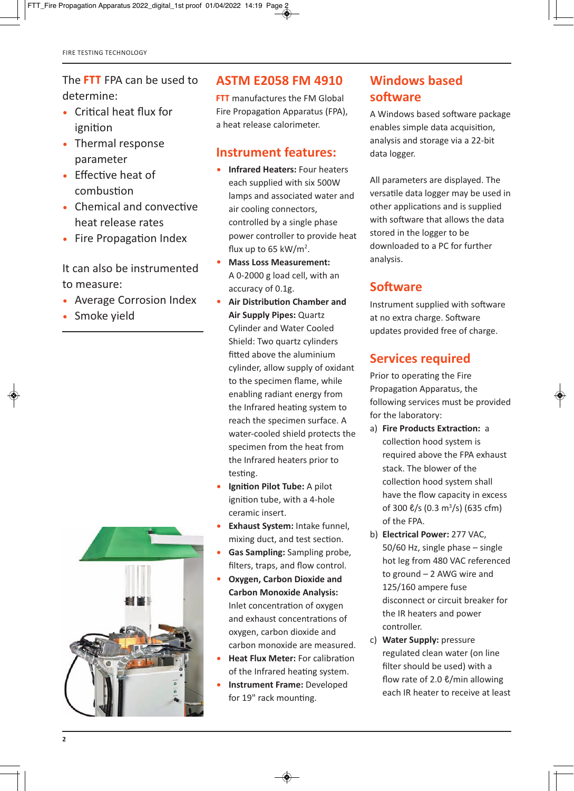#### The **FTT** FPA can be used to determine:

- Critical heat flux for ignition
- Thermal response parameter
- Effective heat of combustion
- Chemical and convective heat release rates
- Fire Propagation Index

It can also be instrumented to measure:

- Average Corrosion Index
- Smoke yield



#### **ASTM E2058 FM 4910**

**FTT** manufactures the FM Global Fire Propagation Apparatus (FPA), a heat release calorimeter.

#### **Instrument features:**

- **Infrared Heaters:** Four heaters each supplied with six 500W lamps and associated water and air cooling connectors, controlled by a single phase power controller to provide heat flux up to 65 kW/m<sup>2</sup>.
- **Mass Loss Measurement:** A 02000 g load cell, with an accuracy of 0.1g.
- **Air Distribution Chamber and Air Supply Pipes:** Quartz Cylinder and Water Cooled Shield: Two quartz cylinders fitted above the aluminium cylinder, allow supply of oxidant to the specimen flame, while enabling radiant energy from the Infrared heating system to reach the specimen surface. A water-cooled shield protects the specimen from the heat from the Infrared heaters prior to testing.
- **Ignition Pilot Tube:** A pilot ignition tube, with a 4-hole ceramic insert.
- **Exhaust System:** Intake funnel, mixing duct, and test section.
- **Gas Sampling:** Sampling probe, filters, traps, and flow control.
- **Oxygen, Carbon Dioxide and Carbon Monoxide Analysis:** Inlet concentration of oxygen and exhaust concentrations of oxygen, carbon dioxide and carbon monoxide are measured.
- **Heat Flux Meter:** For calibration of the Infrared heating system.
- **Instrument Frame:** Developed for 19" rack mounting.

## **Windows based software**

A Windows based software package enables simple data acquisition, analysis and storage via a 22-bit data logger.

All parameters are displayed. The versatile data logger may be used in other applications and is supplied with software that allows the data stored in the logger to be downloaded to a PC for further analysis.

## **Software**

Instrument supplied with software at no extra charge. Software updates provided free of charge.

## **Services required**

Prior to operating the Fire Propagation Apparatus, the following services must be provided for the laboratory:

- a) **Fire Products Extraction:** a collection hood system is required above the FPA exhaust stack. The blower of the collection hood system shall have the flow capacity in excess of 300 ℓ/s (0.3 m<sup>3</sup>/s) (635 cfm) of the FPA.
- b) **Electrical Power:** 277 VAC, 50/60 Hz, single phase – single hot leg from 480 VAC referenced to ground – 2 AWG wire and 125/160 ampere fuse disconnect or circuit breaker for the IR heaters and power controller.
- c) **Water Supply:** pressure regulated clean water (on line filter should be used) with a flow rate of 2.0 ℓ/min allowing each IR heater to receive at least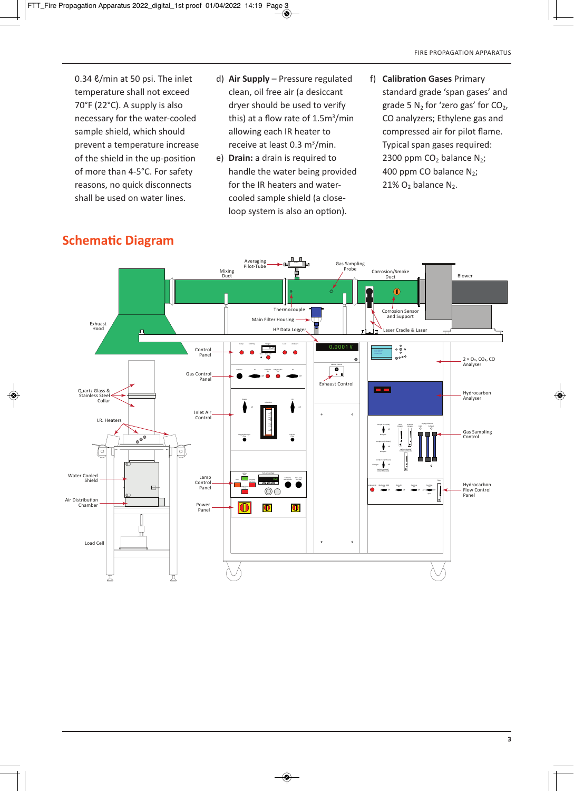0.34 ℓ/min at 50 psi. The inlet temperature shall not exceed 70°F (22°C). A supply is also necessary for the water-cooled sample shield, which should prevent a temperature increase of the shield in the up-position of more than 4-5°C. For safety reasons, no quick disconnects shall be used on water lines.

- d) **Air Supply** Pressure regulated clean, oil free air (a desiccant dryer should be used to verify this) at a flow rate of 1.5m<sup>3</sup>/min allowing each IR heater to receive at least 0.3 m<sup>3</sup>/min.
- e) **Drain:** a drain is required to handle the water being provided for the IR heaters and watercooled sample shield (a closeloop system is also an option).
- f) **Calibration Gases** Primary standard grade 'span gases' and grade 5  $N_2$  for 'zero gas' for  $CO<sub>2</sub>$ , CO analyzers; Ethylene gas and compressed air for pilot flame. Typical span gases required: 2300 ppm  $CO<sub>2</sub>$  balance N<sub>2</sub>; 400 ppm CO balance  $N_2$ ;  $21\%$  O<sub>2</sub> balance N<sub>2</sub>.



# **Schematic Diagram**